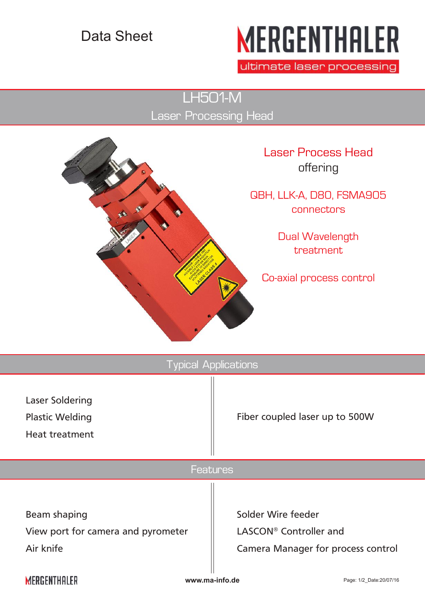# Data Sheet

# **MERGENTHALER**

ultimate laser processing

LH501-M Laser Processing Head



| <b>Typical Applications</b>                                               |                                                          |                                           |
|---------------------------------------------------------------------------|----------------------------------------------------------|-------------------------------------------|
| <b>Laser Soldering</b><br><b>Plastic Welding</b><br><b>Heat treatment</b> |                                                          | Fiber coupled laser up to 500W            |
|                                                                           | <b>Features</b>                                          |                                           |
| <b>Beam shaping</b><br>View port for camera and pyrometer<br>Air knife    | Solder Wire feeder<br>LASCON <sup>®</sup> Controller and | <b>Camera Manager for process control</b> |
| MERGENTHALER                                                              | www.ma-info.de                                           | Page: 1/2 Date: 20/07/16                  |